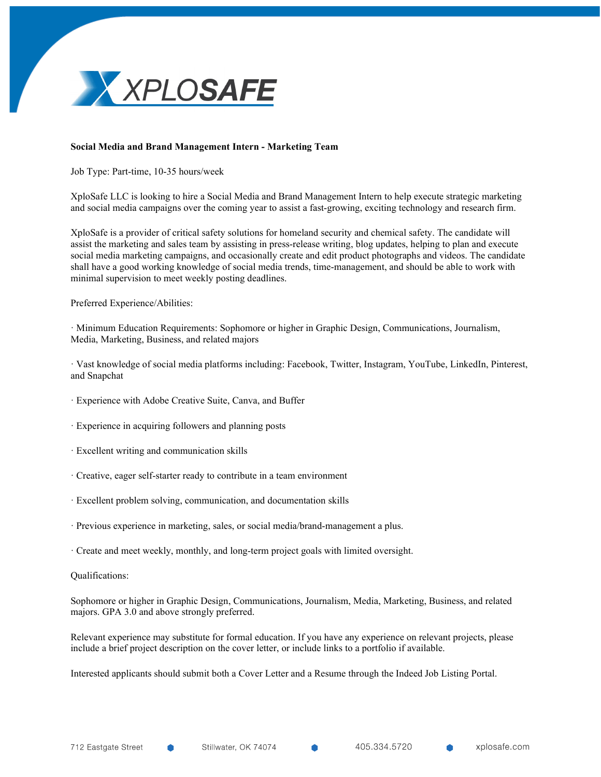

## **Social Media and Brand Management Intern - Marketing Team**

Job Type: Part-time, 10-35 hours/week

XploSafe LLC is looking to hire a Social Media and Brand Management Intern to help execute strategic marketing and social media campaigns over the coming year to assist a fast-growing, exciting technology and research firm.

XploSafe is a provider of critical safety solutions for homeland security and chemical safety. The candidate will assist the marketing and sales team by assisting in press-release writing, blog updates, helping to plan and execute social media marketing campaigns, and occasionally create and edit product photographs and videos. The candidate shall have a good working knowledge of social media trends, time-management, and should be able to work with minimal supervision to meet weekly posting deadlines.

Preferred Experience/Abilities:

· Minimum Education Requirements: Sophomore or higher in Graphic Design, Communications, Journalism, Media, Marketing, Business, and related majors

· Vast knowledge of social media platforms including: Facebook, Twitter, Instagram, YouTube, LinkedIn, Pinterest, and Snapchat

- · Experience with Adobe Creative Suite, Canva, and Buffer
- · Experience in acquiring followers and planning posts
- · Excellent writing and communication skills
- · Creative, eager self-starter ready to contribute in a team environment
- · Excellent problem solving, communication, and documentation skills
- · Previous experience in marketing, sales, or social media/brand-management a plus.
- · Create and meet weekly, monthly, and long-term project goals with limited oversight.

## Qualifications:

Sophomore or higher in Graphic Design, Communications, Journalism, Media, Marketing, Business, and related majors. GPA 3.0 and above strongly preferred.

Relevant experience may substitute for formal education. If you have any experience on relevant projects, please include a brief project description on the cover letter, or include links to a portfolio if available.

Interested applicants should submit both a Cover Letter and a Resume through the Indeed Job Listing Portal.